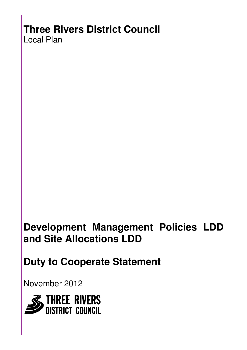# **Three Rivers District Council**

Local Plan

# **Development Management Policies LDD and Site Allocations LDD**

**Duty to Cooperate Statement** 

November 2012

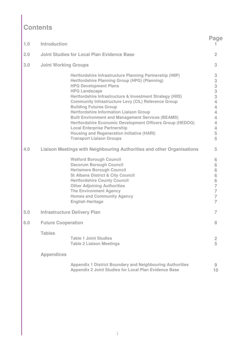## **Contents**

| 1.0 | Introduction                |                                                                                                                                                                                                                                                                                                                                                                                                                                                                                                                                                                                                                                         | <b>Page</b>                                                                                                   |
|-----|-----------------------------|-----------------------------------------------------------------------------------------------------------------------------------------------------------------------------------------------------------------------------------------------------------------------------------------------------------------------------------------------------------------------------------------------------------------------------------------------------------------------------------------------------------------------------------------------------------------------------------------------------------------------------------------|---------------------------------------------------------------------------------------------------------------|
| 2.0 |                             | <b>Joint Studies for Local Plan Evidence Base</b>                                                                                                                                                                                                                                                                                                                                                                                                                                                                                                                                                                                       | $\overline{2}$                                                                                                |
| 3.0 | <b>Joint Working Groups</b> |                                                                                                                                                                                                                                                                                                                                                                                                                                                                                                                                                                                                                                         | 3                                                                                                             |
|     |                             | Hertfordshire Infrastructure Planning Partnership (HIIP)<br>Hertfordshire Planning Group (HPG) (Planning)<br><b>HPG Development Plans</b><br><b>HPG Landscape</b><br>Hertfordshire Infrastructure & Investment Strategy (HIIS)<br><b>Community Infrastructure Levy (CIL) Reference Group</b><br><b>Building Futures Group</b><br><b>Hertfordshire Information Liaison Group</b><br><b>Built Environment and Management Services (BEAMS)</b><br>Hertfordshire Economic Development Officers Group (HEDOG)<br><b>Local Enterprise Partnership</b><br><b>Housing and Regeneration Initiative (HARI)</b><br><b>Transport Liaison Groups</b> | 3<br>3<br>3<br>3<br>3<br>4<br>4<br>4<br>4<br>4<br>4<br>5<br>5                                                 |
| 4.0 |                             | Liaison Meetings with Neighbouring Authorities and other Organisations                                                                                                                                                                                                                                                                                                                                                                                                                                                                                                                                                                  | 5                                                                                                             |
|     |                             | <b>Watford Borough Council</b><br><b>Dacorum Borough Council</b><br><b>Hertsmere Borough Council</b><br><b>St Albans District &amp; City Council</b><br><b>Hertfordshire County Council</b><br><b>Other Adjoining Authorities</b><br><b>The Environment Agency</b><br><b>Homes and Community Agency</b><br><b>English Heritage</b>                                                                                                                                                                                                                                                                                                      | 6<br>$6\,$<br>$6\,$<br>$6\,$<br>$6\,$<br>$\overline{7}$<br>$\overline{7}$<br>$\overline{7}$<br>$\overline{7}$ |
| 5.0 |                             | <b>Infrastructure Delivery Plan</b>                                                                                                                                                                                                                                                                                                                                                                                                                                                                                                                                                                                                     | $\overline{7}$                                                                                                |
| 6.0 | <b>Future Cooperation</b>   |                                                                                                                                                                                                                                                                                                                                                                                                                                                                                                                                                                                                                                         |                                                                                                               |
|     | <b>Tables</b>               | <b>Table 1 Joint Studies</b><br><b>Table 2 Liaison Meetings</b>                                                                                                                                                                                                                                                                                                                                                                                                                                                                                                                                                                         | $\overline{2}$<br>5                                                                                           |
|     | <b>Appendices</b>           |                                                                                                                                                                                                                                                                                                                                                                                                                                                                                                                                                                                                                                         |                                                                                                               |
|     |                             | <b>Appendix 1 District Boundary and Neighbouring Authorities</b><br>Appendix 2 Joint Studies for Local Plan Evidence Base                                                                                                                                                                                                                                                                                                                                                                                                                                                                                                               | 9<br>10                                                                                                       |
|     |                             |                                                                                                                                                                                                                                                                                                                                                                                                                                                                                                                                                                                                                                         |                                                                                                               |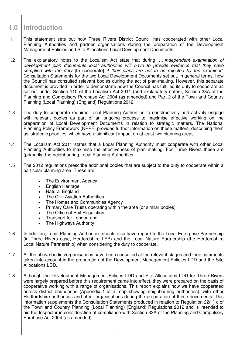### **1.0 Introduction**

- 1.1 This statement sets out how Three Rivers District Council has cooperated with other Local Planning Authorities and partner organisations during the preparation of the Development Management Policies and Site Allocations Local Development Documents.
- 1.2 The explanatory notes to the Localism Act state that during *'...independent examination of* development plan documents local authorities will have to provide evidence that they have complied with the duty [to cooperate] if their plans are not to be rejected by the examiner'. Consultation Statements for the two Local Development Documents set out, in general terms, how the Council has consulted relevant bodies during the act of plan-making. However, this separate document is provided in order to demonstrate how the Council has fulfilled its duty to cooperate as set out under Section 110 of the Localism Act 2011 (and explanatory notes), Section 33A of the Planning and Compulsory Purchase Act 2004 (as amended) and Part 2 of the Town and Country Planning (Local Planning) (England) Regulations 2012.
- 1.3 The duty to cooperate requires Local Planning Authorities to constructively and actively engage with relevant bodies as part of an ongoing process to maximise effective working on the preparation of Local Development Documents in relation to strategic matters. The National Planning Policy Framework (NPPF) provides further information on these matters, describing them as 'strategic priorities' which have a significant impact on at least two planning areas.
- 1.4 The Localism Act 2011 states that a Local Planning Authority must cooperate with other Local Planning Authorities to maximise the effectiveness of plan making. For Three Rivers these are (primarily) the neighbouring Local Planning Authorities.
- 1.5 The 2012 regulations prescribe additional bodies that are subject to the duty to cooperate within a particular planning area. These are:
	- The Environment Agency
	- English Heritage
	- Natural England
	- **The Civil Aviation Authorities**
	- The Homes and Communities Agency
	- Primary Care Trusts operating within the area (or similar bodies)
	- The Office of Rail Regulation
	- Transport for London and
	- The Highways Authority
- 1.6 | In addition, Local Planning Authorities should also have regard to the Local Enterprise Partnership (in Three Rivers case, Hertfordshire LEP) and the Local Nature Partnership (the Hertfordshire Local Nature Partnership) when considering the duty to cooperate.
- 1.7 All the above bodies/organisations have been consulted at the relevant stages and their comments taken into account in the preparation of the Development Management Policies LDD and the Site Allocations LDD.
- 1.8 Although the Development Management Polices LDD and Site Allocations LDD for Three Rivers were largely prepared before this requirement came into effect, they were prepared on the basis of cooperative working with a range of organisations. This report explains how we have cooperated across district boundaries (Appendix 1 is a map showing neighbouring authorities), with other Hertfordshire authorities and other organisations during the preparation of these documents. This information supplements the Consultation Statements produced in relation to Regulation 22(1) c of the Town and Country Planning (Local Planning) (England) Regulations 2012 and is intended to aid the Inspector in consideration of compliance with Section 33A of the Planning and Compulsory Purchase Act 2004 (as amended).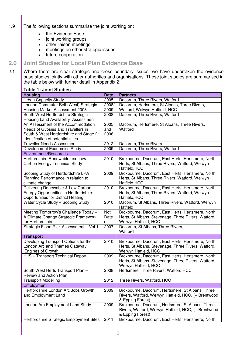- 1.9 The following sections summarise the joint working on:
	- the Evidence Base
	- joint working groups
	- other liaison meetings
	- meetings on other strategic issues
	- future cooperation.

### **2.0 Joint Studies for Local Plan Evidence Base**

2.1 Where there are clear strategic and cross boundary issues, we have undertaken the evidence base studies jointly with other authorities and organisations. These joint studies are summarised in the table below with further detail in Appendix 2:

#### **Table 1: Joint Studies**

| <b>Housing</b>                                                     | <b>Date</b> | <b>Partners</b>                                                  |  |
|--------------------------------------------------------------------|-------------|------------------------------------------------------------------|--|
| <b>Urban Capacity Study</b>                                        | 2005        | Dacorum, Three Rivers, Watford                                   |  |
| London Commuter Belt (West) Strategic                              | 2008/       | Dacorum, Hertsmere, St Albans, Three Rivers,                     |  |
| Housing Market Assessment 2008                                     | 2009        | Watford, Welwyn Hatfield, HCC                                    |  |
| South West Hertfordshire Strategic                                 | 2008        | Dacorum, Three Rivers, Watford                                   |  |
| Housing Land Availability Assessment                               |             |                                                                  |  |
| An Assessment of the Accommodation                                 | 2005        | Dacorum, Hertsmere, St Albans, Three Rivers,                     |  |
| Needs of Gypsies and Travellers in                                 | and         | Watford                                                          |  |
| South & West Hertfordshire and Stage 2:                            | 2006        |                                                                  |  |
| Identification of potential sites                                  |             |                                                                  |  |
| <b>Traveller Needs Assessment</b>                                  | 2012        | Dacorum, Three Rivers                                            |  |
| Development Economics Study                                        | 2009        | Dacorum, Three Rivers, Watford                                   |  |
| <b>Environment/Resources</b>                                       |             |                                                                  |  |
| Hertfordshire Renewable and Low                                    | 2010        | Broxbourne, Dacorum, East Herts, Hertsmere, North                |  |
| Carbon Energy Technical Study                                      |             | Herts, St Albans, Three Rivers, Watford, Welwyn<br>Hatfield, HCC |  |
| Scoping Study of Hertfordshire LPA                                 | 2009        | Broxbourne, Dacorum, East Herts, Hertsmere, North                |  |
| Planning Performance in relation to                                |             | Herts, St Albans, Three Rivers, Watford, Welwyn                  |  |
| climate change                                                     |             | Hatfield, HCC                                                    |  |
| Delivering Renewable & Low Carbon                                  | 2010        | Broxbourne, Dacorum, East Herts, Hertsmere, North                |  |
| Energy Opportunities in Hertfordshire:                             |             | Herts, St Albans, Three Rivers, Watford, Welwyn                  |  |
| <b>Opportunities for District Heating</b>                          |             | Hatfield, HCC                                                    |  |
| Water Cycle Study - Scoping Study                                  | 2010        | Dacorum, St Albans, Three Rivers, Watford, Welwyn<br>Hatfield    |  |
| Meeting Tomorrow's Challenge Today -                               | Not         | Broxbourne, Dacorum, East Herts, Hertsmere, North                |  |
| A Climate Change Strategic Framework                               | Date        | Herts, St Albans, Stevenage, Three Rivers, Watford,              |  |
| for Hertfordshire                                                  | d           | Welwyn Hatfield, HCC                                             |  |
| Strategic Flood Risk Assessment - Vol.1                            | 2007        | Dacorum, St Albans, Three Rivers,                                |  |
|                                                                    |             | Watford                                                          |  |
| <b>Transport</b>                                                   |             |                                                                  |  |
| Developing Transport Options for the                               | 2010        | Broxbourne, Dacorum, East Herts, Hertsmere, North                |  |
| London Arc and Thames Gateway                                      |             | Herts, St Albans, Stevenage, Three Rivers, Watford,              |  |
| Engines of Growth'                                                 |             | Welwyn Hatfield, HCC                                             |  |
| HIIS - Transport Technical Report                                  | 2009        | Broxbourne, Dacorum, East Herts, Hertsmere, North                |  |
|                                                                    |             | Herts, St Albans, Stevenage, Three Rivers, Watford,              |  |
|                                                                    |             | Welwyn Hatfield, HCC                                             |  |
| South West Herts Transport Plan -<br><b>Review and Action Plan</b> | 2008        | Hertsmere, Three Rivers, Watford, HCC                            |  |
| <b>Transport Modelling</b>                                         | 2012        | Three Rivers, Watford, HCC                                       |  |
|                                                                    |             |                                                                  |  |
| Employment<br>Hertfordshire London Arc Jobs Growth                 |             | Broxbourne, Dacorum, Hertsmere, St Albans, Three                 |  |
| and Employment Land                                                | 2009        | Rivers, Watford, Welwyn Hatfield, HCC, (+ Brentwood              |  |
|                                                                    |             | & Epping Forest)                                                 |  |
| London Arc Employment Land Study                                   | 2009        | Broxbourne, Dacorum, Hertsmere, St Albans, Three                 |  |
|                                                                    |             | Rivers, Watford, Welwyn Hatfield, HCC, (+ Brentwood              |  |
|                                                                    |             | & Epping Forest)                                                 |  |
| Hertfordshire Strategic Employment Sites                           | 2011        | Broxbourne, Dacorum, East Herts, Hertsmere, North                |  |
|                                                                    |             |                                                                  |  |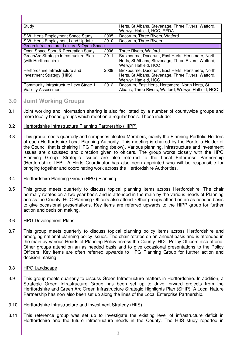| Study                                      |      | Herts, St Albans, Stevenage, Three Rivers, Watford, |  |
|--------------------------------------------|------|-----------------------------------------------------|--|
|                                            |      | Welwyn Hatfield, HCC, EEDA                          |  |
| S.W. Herts Employment Space Study          | 2005 | Dacorum, Three Rivers, Watford                      |  |
| S.W. Herts Employment Land Update          | 2010 | Dacorum, Three Rivers                               |  |
| Green Infrastructure, Leisure & Open Space |      |                                                     |  |
| Open Space Sport & Recreation Study        | 2006 | Three Rivers, Watford                               |  |
| GreenArc Strategic Infrastructure Plan     | 2011 | Broxbourne, Dacorum, East Herts, Hertsmere, North   |  |
| (with Hertfordshire)                       |      | Herts, St Albans, Stevenage, Three Rivers, Watford, |  |
|                                            |      | Welwyn Hatfield, HCC                                |  |
| Hertfordshire Infrastructure and           | 2009 | Broxbourne, Dacorum, East Herts, Hertsmere, North   |  |
| Investment Strategy (HIIS)                 |      | Herts, St Albans, Stevenage, Three Rivers, Watford, |  |
|                                            |      | Welwyn Hatfield, HCC                                |  |
| Community Infrastructure Levy Stage 1      | 2012 | Dacorum, East Herts, Hertsmere, North Herts, St     |  |
| <b>Viability Assessment</b>                |      | Albans, Three Rivers, Watford, Welwyn Hatfield, HCC |  |

### **3.0 Joint Working Groups**

- 3.1 Joint working and information sharing is also facilitated by a number of countywide groups and more locally based groups which meet on a regular basis. These include:
- 3.2 Hertfordshire Infrastructure Planning Partnership (HIPP)
- 3.3 This group meets quarterly and comprises elected Members, mainly the Planning Portfolio Holders of each Hertfordshire Local Planning Authority. This meeting is chaired by the Portfolio Holder of the Council that is chairing HPG Planning (below). Various planning, infrastructure and investment issues are discussed and direction given to officers. The group works closely with the HPG Planning Group. Strategic issues are also referred to the Local Enterprise Partnership (Hertfordshire LEP). A Herts Coordinator has also been appointed who will be responsible for bringing together and coordinating work across the Hertfordshire Authorities.

#### 3.4 Hertfordshire Planning Group (HPG) Planning

- 3.5 This group meets quarterly to discuss topical planning items across Hertfordshire. The chair normally rotates on a two year basis and is attended in the main by the various heads of Planning across the County. HCC Planning Officers also attend. Other groups attend on an as needed basis to give occasional presentations. Key items are referred upwards to the HIPP group for further action and decision making.
- 3.6 HPG Development Plans
- 3.7 This group meets quarterly to discuss topical planning policy items across Hertfordshire and emerging national planning policy issues. The chair rotates on an annual basis and is attended in the main by various Heads of Planning Policy across the County. HCC Policy Officers also attend. Other groups attend on an as needed basis and to give occasional presentations to the Policy Officers. Key items are often referred upwards to HPG Planning Group for further action and decision making.
- 3.8 HPG Landscape
- 3.9 This group meets quarterly to discuss Green Infrastructure matters in Hertfordshire. In addition, a Strategic Green Infrastructure Group has been set up to drive forward projects from the Hertfordshire and Green Arc Green Infrastructure Strategic Highlights Plan (SHIP). A Local Nature Partnership has now also been set up along the lines of the Local Enterprise Partnership.

#### 3.10 Hertfordshire Infrastructure and Investment Strategy (HIIS)

3.11 This reference group was set up to investigate the existing level of infrastructure deficit in Hertfordshire and the future infrastructure needs in the County. The HIIS study reported in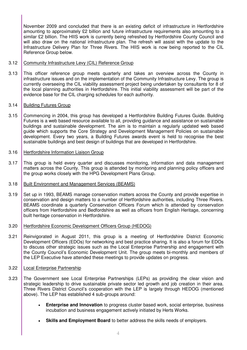November 2009 and concluded that there is an existing deficit of infrastructure in Hertfordshire amounting to approximately £2 billion and future infrastructure requirements also amounting to a similar £2 billion. The HIIS work is currently being refreshed by Hertfordshire County Council and will also draw on the national infrastructure plan. The refresh will assist with the update to the Infrastructure Delivery Plan for Three Rivers. The HIIS work is now being reported to the CIL Reference Group below.

#### 3.12 Community Infrastructure Levy (CIL) Reference Group

3.13 This officer reference group meets quarterly and takes an overview across the County in infrastructure issues and on the implementation of the Community Infrastructure Levy. The group is currently overseeing the CIL viability assessment project being undertaken by consultants for 8 of the local planning authorities in Hertfordshire. This initial viability assessment will be part of the evidence base for the CIL charging schedules for each authority.

#### 3.14 Building Futures Group

3.15 Commencing in 2004, this group has developed a Hertfordshire Building Futures Guide. Building Futures is a web based resource available to all, providing guidance and assistance on sustainable buildings and sustainable development. The aim is to maintain a regularly updated web based guide which supports the Core Strategy and Development Management Policies on sustainable development. Every two years, a Building Futures awards event is held to recognise the best sustainable buildings and best design of buildings that are developed in Hertfordshire.

#### 3.16 Hertfordshire Information Liaison Group

3.17 This group is held every quarter and discusses monitoring, information and data management matters across the County. This group is attended by monitoring and planning policy officers and the group works closely with the HPG Development Plans Group.

#### 3.18 | Built Environment and Management Services (BEAMS)

- 3.19 Set up in 1993, BEAMS manage conservation matters across the County and provide expertise in conservation and design matters to a number of Hertfordshire authorities, including Three Rivers. BEAMS coordinate a quarterly Conservation Officers Forum which is attended by conservation officers from Hertfordshire and Bedfordshire as well as officers from English Heritage, concerning built heritage conservation in Hertfordshire.
- 3.20 Hertfordshire Economic Development Officers Group (HEDOG)
- 3.21 Reinvigorated in August 2011, this group is a meeting of Hertfordshire District Economic Development Officers (EDOs) for networking and best practice sharing. It is also a forum for EDOs to discuss other strategic issues such as the Local Enterprise Partnership and engagement with the County Council's Economic Development Unit. The group meets bi-monthly and members of the LEP Executive have attended these meetings to provide updates on progress.
- 3.22 Local Enterprise Partnership
- 3.23 The Government see Local Enterprise Partnerships (LEPs) as providing the clear vision and strategic leadership to drive sustainable private sector led growth and job creation in their area. Three Rivers District Council's cooperation with the LEP is largely through HEDOG (mentioned above). The LEP has established 4 sub-groups around:
	- **Enterprise and Innovation** to progress cluster based work, social enterprise, business incubation and business engagement actively initiated by Herts Works.
	- **Skills and Employment Board** to better address the skills needs of employers.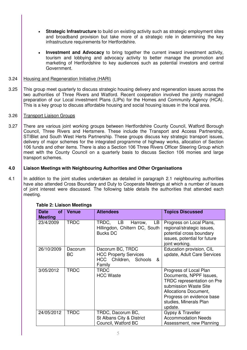- **Strategic Infrastructure** to build on existing activity such as strategic employment sites and broadband provision but take more of a strategic role in determining the key infrastructure requirements for Hertfordshire.
- **Investment and Advocacy** to bring together the current inward investment activity, tourism and lobbying and advocacy activity to better manage the promotion and marketing of Hertfordshire to key audiences such as potential investors and central Government.

#### 3.24 Housing and Regeneration Initiative (HARI)

3.25 This group meet quarterly to discuss strategic housing delivery and regeneration issues across the two authorities of Three Rivers and Watford. Recent cooperation involved the jointly managed preparation of our Local investment Plans (LIPs) for the Homes and Community Agency (HCA). This is a key group to discuss affordable housing and social housing issues in the local area.

#### 3.26 Transport Liaison Groups

3.27 There are various joint working groups between Hertfordshire County Council, Watford Borough Council, Three Rivers and Hertsmere. These include the Transport and Access Partnership, STIBlet and South West Herts Partnership. These groups discuss key strategic transport issues, delivery of major schemes for the integrated programme of highway works, allocation of Section 106 funds and other items. There is also a Section 106 Three Rivers Officer Steering Group which meet with the County Council on a quarterly basis to discuss Section 106 monies and large transport schemes.

#### **4.0 Liaison Meetings with Neighbouring Authorities and Other Organisations**

4.1 In addition to the joint studies undertaken as detailed in paragraph 2.1 neighbouring authorities have also attended Cross Boundary and Duty to Cooperate Meetings at which a number of issues of joint interest were discussed. The following table details the authorities that attended each meeting.

| <b>Date</b><br><b>of</b><br><b>Meeting</b> | <b>Venue</b>         | <b>Attendees</b>                                                                         | <b>Topics Discussed</b>                                                                                                                                                                                    |
|--------------------------------------------|----------------------|------------------------------------------------------------------------------------------|------------------------------------------------------------------------------------------------------------------------------------------------------------------------------------------------------------|
| 23/4/2009                                  | <b>TRDC</b>          | TRDC, LB Harrow,<br>LB.<br>Hillingdon, Chiltern DC, South<br><b>Bucks DC</b>             | Progress on Local Plans,<br>regional/strategic issues,<br>potential cross boundary<br>issues, potential for future<br>joint working.                                                                       |
| 26/10/2009                                 | Dacorum<br><b>BC</b> | Dacorum BC, TRDC<br><b>HCC Property Services</b><br>HCC Children, Schools<br>&<br>Family | Education provision, CIL<br>update, Adult Care Services                                                                                                                                                    |
| 3/05/2012                                  | <b>TRDC</b>          | TRDC<br><b>HCC Waste</b>                                                                 | Progress of Local Plan<br>Documents, NPPF Issues,<br>TRDC representation on Pre<br>submission Waste Site<br><b>Allocations Document,</b><br>Progress on evidence base<br>studies, Minerals Plan<br>update. |
| 24/05/2012                                 | <b>TRDC</b>          | TRDC, Dacorum BC,<br>St Albans City & District<br>Council, Watford BC                    | Gypsy & Traveller<br><b>Accommodation Needs</b><br>Assessment, new Planning                                                                                                                                |

#### **Table 2: Liaison Meetings**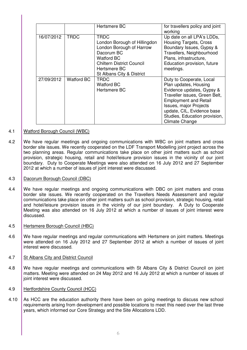|            |                   | Hertsmere BC                                                                                                                                                                  | for travellers policy and joint<br>working                                                                                                                                                                                                                               |
|------------|-------------------|-------------------------------------------------------------------------------------------------------------------------------------------------------------------------------|--------------------------------------------------------------------------------------------------------------------------------------------------------------------------------------------------------------------------------------------------------------------------|
| 16/07/2012 | <b>TRDC</b>       | TRDC<br>London Borough of Hillingdon<br>London Borough of Harrow<br>Dacorum BC<br>Watford BC<br><b>Chiltern District Council</b><br>Hertsmere BC<br>St Albans City & District | Up date on all LPA's LDDs,<br><b>Housing Targets, Cross</b><br>Boundary Issues, Gypsy &<br>Travellers, Neighbourhood<br>Plans, infrastructure,<br>Education provision, future<br>meetings.                                                                               |
| 27/09/2012 | <b>Watford BC</b> | <b>TRDC</b><br>Watford BC<br>Hertsmere BC                                                                                                                                     | Duty to Cooperate, Local<br>Plan updates, Housing<br>Evidence updates, Gypsy &<br>Traveller issues, Green Belt,<br><b>Employment and Retail</b><br><b>Issues, major Projects</b><br>update, CIL, Evidence base<br>Studies, Education provision,<br><b>Climate Change</b> |

#### 4.1 Watford Borough Council (WBC)

4.2 We have regular meetings and ongoing communications with WBC on joint matters and cross border site issues. We recently cooperated on the LDF Transport Modelling joint project across the two planning areas. Regular communications take place on other joint matters such as school provision, strategic housing, retail and hotel/leisure provision issues in the vicinity of our joint boundary. Duty to Cooperate Meetings were also attended on 16 July 2012 and 27 September 2012 at which a number of issues of joint interest were discussed.

#### 4.3 Dacorum Borough Council (DBC)

- 4.4 We have regular meetings and ongoing communications with DBC on joint matters and cross border site issues. We recently cooperated on the Travellers Needs Assessment and regular communications take place on other joint matters such as school provision, strategic housing, retail and hotel/leisure provision issues in the vicinity of our joint boundary. A Duty to Cooperate Meeting was also attended on 16 July 2012 at which a number of issues of joint interest were discussed.
- 4.5 Hertsmere Borough Council (HBC)
- 4.6 We have regular meetings and regular communications with Hertsmere on joint matters. Meetings were attended on 16 July 2012 and 27 September 2012 at which a number of issues of joint interest were discussed.
- 4.7 St Albans City and District Council
- 4.8 We have regular meetings and communications with St Albans City & District Council on joint matters. Meeting were attended on 24 May 2012 and 16 July 2012 at which a number of issues of joint interest were discussed.
- 4.9 Hertfordshire County Council (HCC)
- 4.10 As HCC are the education authority there have been on going meetings to discuss new school requirements arising from development and possible locations to meet this need over the last three years, which informed our Core Strategy and the Site Allocations LDD.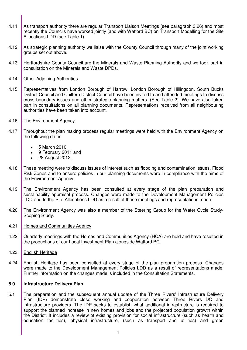- 4.11 As transport authority there are regular Transport Liaison Meetings (see paragraph 3.26) and most recently the Councils have worked jointly (and with Watford BC) on Transport Modelling for the Site Allocations LDD (see Table 1).
- 4.12 As strategic planning authority we liaise with the County Council through many of the joint working groups set out above.
- 4.13 Hertfordshire County Council are the Minerals and Waste Planning Authority and we took part in consultation on the Minerals and Waste DPDs.
- 4.14 Other Adjoining Authorities
- 4.15 Representatives from London Borough of Harrow, London Borough of Hillingdon, South Bucks District Council and Chiltern District Council have been invited to and attended meetings to discuss cross boundary issues and other strategic planning matters. (See Table 2). We have also taken part in consultations on all planning documents. Representations received from all neighbouring authorities have been taken into account.
- 4.16 The Environment Agency
- 4.17 Throughout the plan making process regular meetings were held with the Environment Agency on the following dates:
	- 5 March 2010
	- 9 February 2011 and
	- 28 August 2012.
- 4.18 These meeting were to discuss issues of interest such as flooding and contamination issues, Flood Risk Zones and to ensure policies in our planning documents were in compliance with the aims of the Environment Agency.
- 4.19 The Environment Agency has been consulted at every stage of the plan preparation and sustainability appraisal process. Changes were made to the Development Management Policies LDD and to the Site Allocations LDD as a result of these meetings and representations made.
- 4.20 The Environment Agency was also a member of the Steering Group for the Water Cycle Study-Scoping Study.
- 4.21 Homes and Communities Agency
- 4.22 Quarterly meetings with the Homes and Communities Agency (HCA) are held and have resulted in the productions of our Local Investment Plan alongside Watford BC.
- 4.23 English Heritage
- 4.24 English Heritage has been consulted at every stage of the plan preparation process. Changes were made to the Development Management Policies LDD as a result of representations made. Further information on the changes made is included in the Consultation Statements.

#### **5.0 Infrastructure Delivery Plan**

5.1 The preparation and the subsequent annual update of the Three Rivers' Infrastructure Delivery Plan (IDP) demonstrate close working and cooperation between Three Rivers DC and infrastructure providers. The IDP seeks to establish what additional infrastructure is required to support the planned increase in new homes and jobs and the projected population growth within the District. It includes a review of existing provision for social infrastructure (such as health and education facilities), physical infrastructure, (such as transport and utilities) and green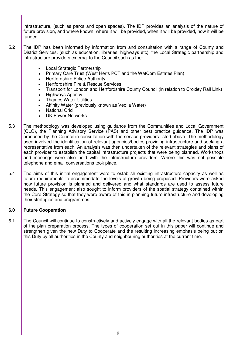infrastructure, (such as parks and open spaces). The IDP provides an analysis of the nature of future provision, and where known, where it will be provided, when it will be provided, how it will be funded.

- 5.2 The IDP has been informed by information from and consultation with a range of County and District Services, (such as education, libraries, highways etc), the Local Strategic partnership and infrastructure providers external to the Council such as the:
	- Local Strategic Partnership
	- Primary Care Trust (West Herts PCT and the WatCom Estates Plan)
	- Hertfordshire Police Authority
	- Hertfordshire Fire & Rescue Services
	- Transport for London and Hertfordshire County Council (in relation to Croxley Rail Link)
	- Highways Agency
	- Thames Water Utilities
	- Affinity Water (previously known as Veolia Water)
	- National Grid
	- UK Power Networks
- 5.3 The methodology was developed using guidance from the Communities and Local Government (CLG), the Planning Advisory Service (PAS) and other best practice guidance. The IDP was produced by the Council in consultation with the service providers listed above. The methodology used involved the identification of relevant agencies/bodies providing infrastructure and seeking a representative from each. An analysis was then undertaken of the relevant strategies and plans of each provider to establish the capital infrastructure projects that were being planned. Workshops and meetings were also held with the infrastructure providers. Where this was not possible telephone and email conversations took place.
- 5.4 The aims of this initial engagement were to establish existing infrastructure capacity as well as future requirements to accommodate the levels of growth being proposed. Providers were asked how future provision is planned and delivered and what standards are used to assess future needs. This engagement also sought to inform providers of the spatial strategy contained within the Core Strategy so that they were aware of this in planning future infrastructure and developing their strategies and programmes.

#### **6.0 Future Cooperation**

6.1 The Council will continue to constructively and actively engage with all the relevant bodies as part of the plan preparation process. The types of cooperation set out in this paper will continue and strengthen given the new Duty to Cooperate and the resulting increasing emphasis being put on this Duty by all authorities in the County and neighbouring authorities at the current time.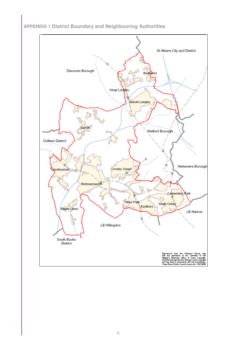**APPENDIX 1 District Boundary and Neighbouring Authorities** 

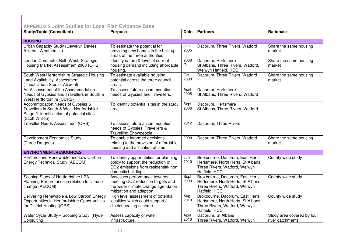## **APPENDIX 2 Joint Studies for Local Plan Evidence Base**

| <b>Study/Topic (Consultant)</b>                                                                                                              | <b>Purpose</b>                                                                                                                             | <b>Date</b>   | <b>Partners</b>                                                                                                          | Rationale                                       |  |
|----------------------------------------------------------------------------------------------------------------------------------------------|--------------------------------------------------------------------------------------------------------------------------------------------|---------------|--------------------------------------------------------------------------------------------------------------------------|-------------------------------------------------|--|
| <b>HOUSING</b>                                                                                                                               |                                                                                                                                            |               |                                                                                                                          |                                                 |  |
| Urban Capacity Study (Llewelyn Davies,<br>Atisreal, Weatheralls)                                                                             | To estimate the potential for<br>providing new homes in the built up<br>areas of the three authorities.                                    | Jan<br>2005   | Dacorum, Three Rivers, Watford                                                                                           | Share the same housing<br>market                |  |
| London Commuter Belt (West) Strategic<br>Housing Market Assessment 2008 (ORS)                                                                | Identify nature & level of current<br>housing demand including affordable<br>housing.                                                      | 2008<br>/9    | Dacorum, Hertsmere<br>St Albans, Three Rivers, Watford,<br>Welwyn Hatfield, HCC                                          | Share the same housing<br>market                |  |
| South West Hertfordshire Strategic Housing<br>Land Availability Assessment<br>(Tribal Urban Studio, Atisreal)                                | To estimate available housing<br>potential across the three council<br>areas.                                                              | Oct<br>2008   | Dacorum, Three Rivers, Watford                                                                                           | Share the same housing<br>market                |  |
| An Assessment of the Accommodation<br>Needs of Gypsies and Travellers in South &<br>West Hertfordshire (CURS)                                | To assess future accommodation<br>needs of Gypsies and Travellers.                                                                         | April<br>2005 | Dacorum, Hertsmere<br>St Albans, Three Rivers, Watford                                                                   |                                                 |  |
| Accommodation Needs of Gypsies &<br>Travellers in South & West Hertfordshire<br>Stage 2: Identification of potential sites<br>(Scott Wilson) | To identify potential sites in the study<br>area.                                                                                          | Sept<br>2006  | Dacorum, Hertsmere<br>St Albans, Three Rivers, Watford                                                                   |                                                 |  |
| <b>Traveller Needs Assessment (ORS)</b>                                                                                                      | To assess future accommodation<br>needs of Gypsies, Travellers &<br><b>Travelling Showpeople</b>                                           | 2012          | Dacorum, Three Rivers                                                                                                    |                                                 |  |
| <b>Development Economics Study</b><br>(Three Dragons)                                                                                        | To enable informed decisions<br>relating to the provision of affordable<br>housing and allocation of land.                                 | 2009          | Dacorum, Three Rivers, Watford                                                                                           | Share the same housing<br>market                |  |
| <b>ENVIRONMENT/RESOURCES</b>                                                                                                                 |                                                                                                                                            |               |                                                                                                                          |                                                 |  |
| Hertfordshire Renewable and Low Carbon<br>Energy Technical Study (AECOM)                                                                     | To identify opportunities for planning<br>policy to support the reduction of<br>CO2 emissions from residential/ non<br>domestic buildings. | July<br>2010  | Broxbourne, Dacorum, East Herts,<br>Hertsmere, North Herts, St Albans,<br>Three Rivers, Watford, Welwyn<br>Hatfield, HCC | County wide study                               |  |
| Scoping Study of Hertfordshire LPA<br>Planning Performance in relation to climate<br>change (AECOM)                                          | Assesses performance towards<br>meeting CO2 reduction targets and<br>the wider climate change agenda on<br>mitigation and adaption.        | Sept<br>2009  | Broxbourne, Dacorum, East Herts,<br>Hertsmere, North Herts, St Albans,<br>Three Rivers, Watford, Welwyn<br>Hatfield, HCC | County wide study                               |  |
| Delivering Renewable & Low Carbon Energy<br>Opportunities in Hertfordshire: Opportunities<br>for District Heating (ORS)                      | High level assessment of potential<br>localities which could support a<br>district heating scheme.                                         | Aug<br>2010   | Broxbourne, Dacorum, East Herts,<br>Hertsmere, North Herts, St Albans,<br>Three Rivers, Watford, Welwyn<br>Hatfield, HCC | County wide study                               |  |
| Water Cycle Study - Scoping Study (Hyder<br>Consulting)                                                                                      | Assess capacity of water<br>infrastructure.                                                                                                | April<br>2010 | Dacorum, St Albans<br>Three Rivers, Watford, Welwyn                                                                      | Study area covered by four<br>river catchments. |  |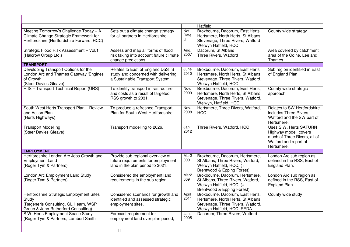|                                                                                                                                  |                                                                                                            |                  | Hatfield                                                                                                                                  |                                                                                                                               |
|----------------------------------------------------------------------------------------------------------------------------------|------------------------------------------------------------------------------------------------------------|------------------|-------------------------------------------------------------------------------------------------------------------------------------------|-------------------------------------------------------------------------------------------------------------------------------|
| Meeting Tomorrow's Challenge Today - A<br>Climate Change Strategic Framework for<br>Hertfordshire (Hertfordshire Forward, HCC)   | Sets out a climate change strategy<br>for all partners in Hertfordshire.                                   | Not<br>Date<br>d | Broxbourne, Dacorum, East Herts<br>Hertsmere, North Herts, St Albans<br>Stevenage, Three Rivers, Watford<br>Welwyn Hatfield, HCC          | County wide strategy                                                                                                          |
| Strategic Flood Risk Assessment - Vol.1<br>(Halcrow Group Ltd.)                                                                  | Assess and map all forms of flood<br>risk taking into account future climate<br>change predictions.        | Aug.<br>2007     | Dacorum, St Albans<br>Three Rivers. Watford                                                                                               | Area covered by catchment<br>area of the Colne, Lee and<br>Thames.                                                            |
| <b>TRANSPORT</b>                                                                                                                 |                                                                                                            |                  |                                                                                                                                           |                                                                                                                               |
| Developing Transport Options for the<br>London Arc and Thames Gateway 'Engines<br>of Growth'<br>(Steer Davies Gleave)            | Relates to East of England DaSTS<br>study and concerned with delivering<br>a Sustainable Transport System. | June<br>2010     | Broxbourne, Dacorum, East Herts<br>Hertsmere, North Herts, St Albans<br>Stevenage, Three Rivers, Watford,<br>Welwyn Hatfield, HCC         | Sub region identified in East<br>of England Plan                                                                              |
| HIIS - Transport Technical Report (URS)                                                                                          | To identify transport infrastructure<br>and costs as a result of targeted<br>RSS growth to 2031.           | Nov.<br>2009     | Broxbourne, Dacorum, East Herts,<br>Hertsmere, North Herts, St Albans,<br>Stevenage, Three Rivers, Watford,<br>Welwyn, Hatfield, HCC      | County wide strategic<br>approach                                                                                             |
| South West Herts Transport Plan - Review<br>and Action Plan<br>(Herts Highways)                                                  | To produce a refreshed Transport<br>Plan for South West Hertfordshire.                                     | Nov.<br>2008     | Hertsmere, Three Rivers, Watford,<br><b>HCC</b>                                                                                           | Relates to SW Hertfordshire<br>includes Three Rivers,<br>Watford and the SW part of<br>Hertsmere.                             |
| <b>Transport Modelling</b><br>(Steer Davies Gleave)                                                                              | Transport modelling to 2026.                                                                               | Jan.<br>2012     | Three Rivers, Watford, HCC                                                                                                                | <b>Uses S.W. Herts SATURN</b><br>Highway model, covers<br>much of Three Rivers, all of<br>Watford and a part of<br>Hertsmere. |
| <b>EMPLOYMENT</b>                                                                                                                |                                                                                                            |                  |                                                                                                                                           |                                                                                                                               |
| Hertfordshire London Arc Jobs Growth and<br><b>Employment Land</b><br>(Roger Tym & Partners)                                     | Provide sub regional overview of<br>future requirements for employment<br>land in the plan period to 2021. | Mar2<br>009      | Broxbourne, Dacorum, Hertsmere,<br>St Albans, Three Rivers, Watford,<br>Welwyn Hatfield, HCC, (+<br>Brentwood & Epping Forest)            | London Arc sub region as<br>defined in the RSS, East of<br>England Plan.                                                      |
| London Arc Employment Land Study<br>(Roger Tym & Partners)                                                                       | Considered the employment land<br>requirements in the sub region.                                          | Mar2<br>009      | Broxbourne, Dacorum, Hertsmere,<br>St Albans, Three Rivers, Watford,<br>Welwyn Hatfield, HCC, (+<br>Brentwood & Epping Forest)            | London Arc sub region as<br>defined in the RSS, East of<br>England Plan.                                                      |
| Hertfordshire Strategic Employment Sites<br>Study<br>(Regeneris Consulting, GL Hearn, WSP<br>Group & John Rutherford Consulting) | Considered scenarios for growth and<br>identified and assessed strategic<br>employment sites.              | April<br>2011    | Broxbourne, Dacorum, East Herts,<br>Hertsmere, North Herts, St Albans,<br>Stevenage, Three Rivers, Watford,<br>Welwyn Hatfield, HCC, EEDA | County wide study                                                                                                             |
| S.W. Herts Employment Space Study<br>(Roger Tym & Partners, Lambert Smith                                                        | Forecast requirement for<br>employment land over plan period,                                              | Jan.<br>2005     | Dacorum, Three Rivers, Watford                                                                                                            |                                                                                                                               |